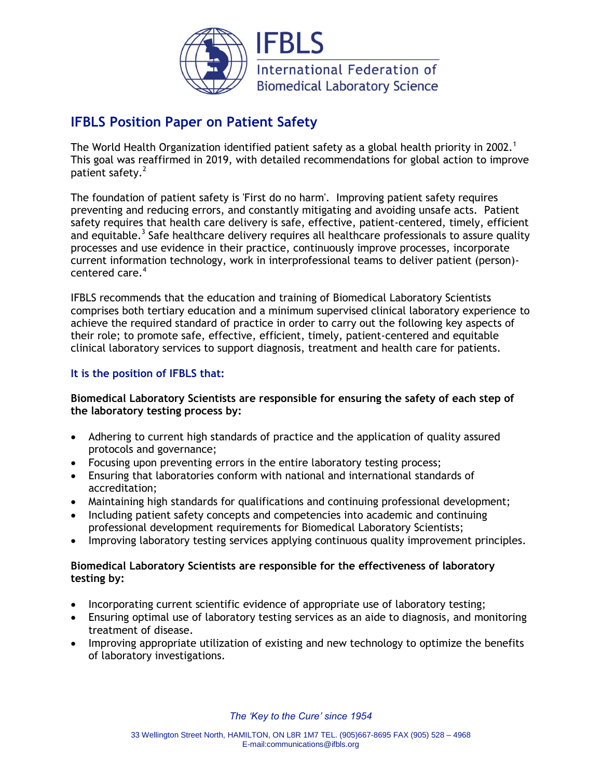

# **IFBLS Position Paper on Patient Safety**

The World Health Organization identified patient safety as a global health priority in 2002.<sup>1</sup> This goal was reaffirmed in 2019, with detailed recommendations for global action to improve patient safety.<sup>2</sup>

The foundation of patient safety is 'First do no harm'. Improving patient safety requires preventing and reducing errors, and constantly mitigating and avoiding unsafe acts. Patient safety requires that health care delivery is safe, effective, patient-centered, timely, efficient and equitable.<sup>3</sup> Safe healthcare delivery requires all healthcare professionals to assure quality processes and use evidence in their practice, continuously improve processes, incorporate current information technology, work in interprofessional teams to deliver patient (person) centered care.<sup>4</sup>

IFBLS recommends that the education and training of Biomedical Laboratory Scientists comprises both tertiary education and a minimum supervised clinical laboratory experience to achieve the required standard of practice in order to carry out the following key aspects of their role; to promote safe, effective, efficient, timely, patient-centered and equitable clinical laboratory services to support diagnosis, treatment and health care for patients.

## **It is the position of IFBLS that:**

## **Biomedical Laboratory Scientists are responsible for ensuring the safety of each step of the laboratory testing process by:**

- Adhering to current high standards of practice and the application of quality assured protocols and governance;
- Focusing upon preventing errors in the entire laboratory testing process;
- Ensuring that laboratories conform with national and international standards of accreditation;
- Maintaining high standards for qualifications and continuing professional development;
- Including patient safety concepts and competencies into academic and continuing professional development requirements for Biomedical Laboratory Scientists;
- Improving laboratory testing services applying continuous quality improvement principles.

## **Biomedical Laboratory Scientists are responsible for the effectiveness of laboratory testing by:**

- Incorporating current scientific evidence of appropriate use of laboratory testing;
- Ensuring optimal use of laboratory testing services as an aide to diagnosis, and monitoring treatment of disease.
- Improving appropriate utilization of existing and new technology to optimize the benefits of laboratory investigations.

*The 'Key to the Cure' since 1954*